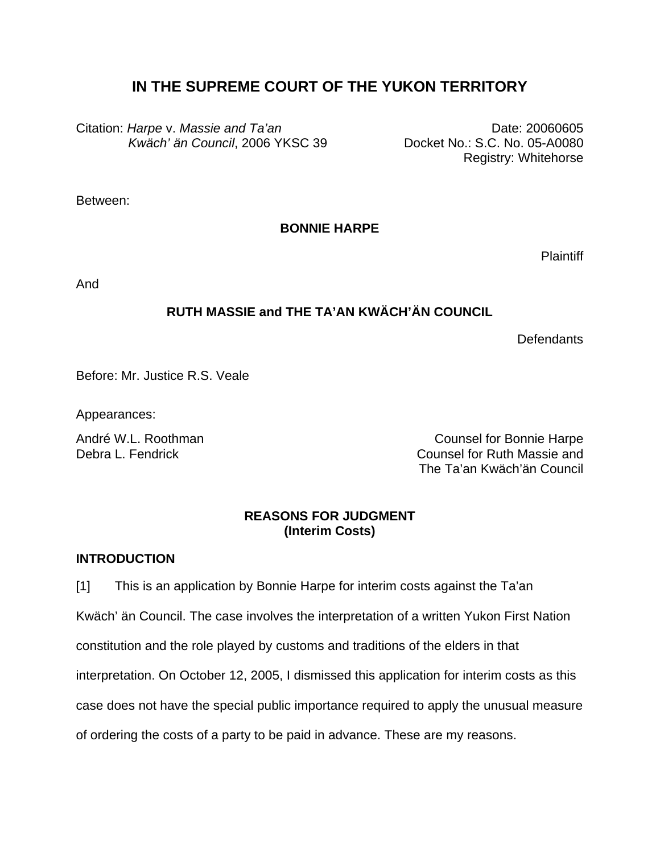# **IN THE SUPREME COURT OF THE YUKON TERRITORY**

Citation: *Harpe* v. *Massie and Ta'an Kwäch' än Council*, 2006 YKSC 39

Date: 20060605 Docket No.: S.C. No. 05-A0080 Registry: Whitehorse

Between:

**BONNIE HARPE** 

**Plaintiff** 

And

# **RUTH MASSIE and THE TA'AN KWÄCH'ÄN COUNCIL**

**Defendants** 

Before: Mr. Justice R.S. Veale

Appearances:

André W.L. Roothman Counsel for Bonnie Harpe Debra L. Fendrick Counsel for Ruth Massie and The Ta'an Kwäch'än Council

## **REASONS FOR JUDGMENT (Interim Costs)**

## **INTRODUCTION**

[1] This is an application by Bonnie Harpe for interim costs against the Ta'an Kwäch' än Council. The case involves the interpretation of a written Yukon First Nation constitution and the role played by customs and traditions of the elders in that interpretation. On October 12, 2005, I dismissed this application for interim costs as this case does not have the special public importance required to apply the unusual measure of ordering the costs of a party to be paid in advance. These are my reasons.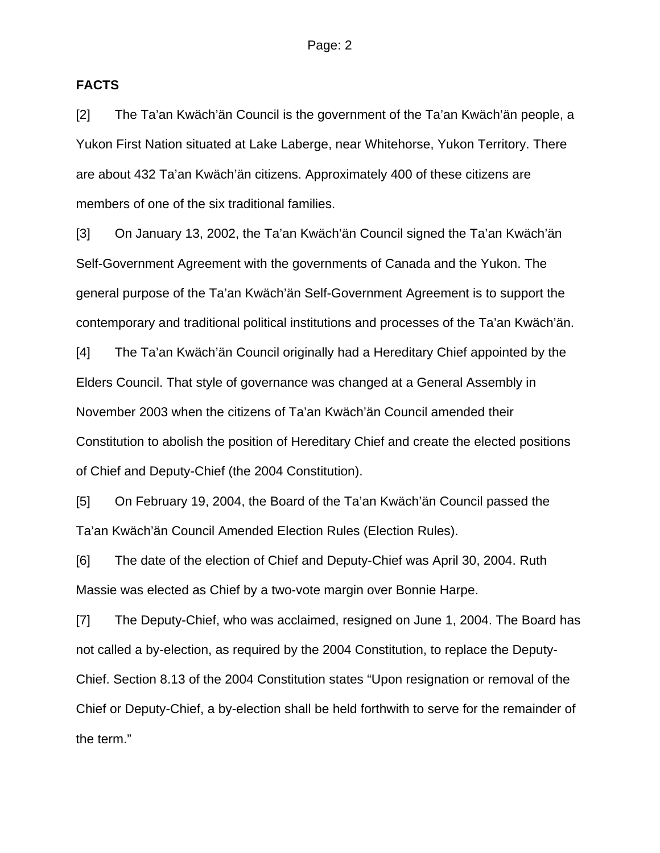#### **FACTS**

[2] The Ta'an Kwäch'än Council is the government of the Ta'an Kwäch'än people, a Yukon First Nation situated at Lake Laberge, near Whitehorse, Yukon Territory. There are about 432 Ta'an Kwäch'än citizens. Approximately 400 of these citizens are members of one of the six traditional families.

[3] On January 13, 2002, the Ta'an Kwäch'än Council signed the Ta'an Kwäch'än Self-Government Agreement with the governments of Canada and the Yukon. The general purpose of the Ta'an Kwäch'än Self-Government Agreement is to support the contemporary and traditional political institutions and processes of the Ta'an Kwäch'än.

[4] The Ta'an Kwäch'än Council originally had a Hereditary Chief appointed by the Elders Council. That style of governance was changed at a General Assembly in November 2003 when the citizens of Ta'an Kwäch'än Council amended their Constitution to abolish the position of Hereditary Chief and create the elected positions of Chief and Deputy-Chief (the 2004 Constitution).

[5] On February 19, 2004, the Board of the Ta'an Kwäch'än Council passed the Ta'an Kwäch'än Council Amended Election Rules (Election Rules).

[6] The date of the election of Chief and Deputy-Chief was April 30, 2004. Ruth Massie was elected as Chief by a two-vote margin over Bonnie Harpe.

[7] The Deputy-Chief, who was acclaimed, resigned on June 1, 2004. The Board has not called a by-election, as required by the 2004 Constitution, to replace the Deputy-Chief. Section 8.13 of the 2004 Constitution states "Upon resignation or removal of the Chief or Deputy-Chief, a by-election shall be held forthwith to serve for the remainder of the term."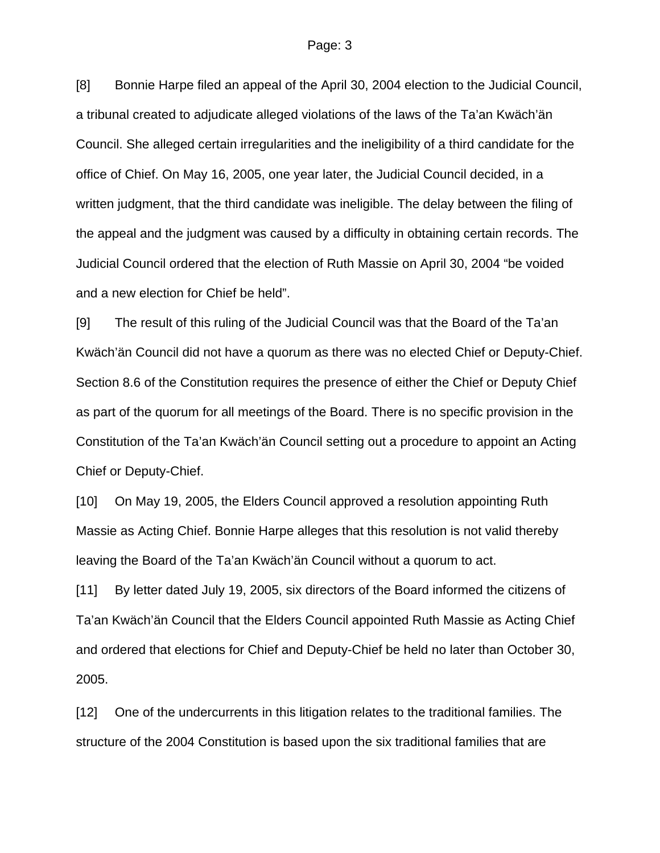[8] Bonnie Harpe filed an appeal of the April 30, 2004 election to the Judicial Council, a tribunal created to adjudicate alleged violations of the laws of the Ta'an Kwäch'än Council. She alleged certain irregularities and the ineligibility of a third candidate for the office of Chief. On May 16, 2005, one year later, the Judicial Council decided, in a written judgment, that the third candidate was ineligible. The delay between the filing of the appeal and the judgment was caused by a difficulty in obtaining certain records. The Judicial Council ordered that the election of Ruth Massie on April 30, 2004 "be voided and a new election for Chief be held".

[9] The result of this ruling of the Judicial Council was that the Board of the Ta'an Kwäch'än Council did not have a quorum as there was no elected Chief or Deputy-Chief. Section 8.6 of the Constitution requires the presence of either the Chief or Deputy Chief as part of the quorum for all meetings of the Board. There is no specific provision in the Constitution of the Ta'an Kwäch'än Council setting out a procedure to appoint an Acting Chief or Deputy-Chief.

[10] On May 19, 2005, the Elders Council approved a resolution appointing Ruth Massie as Acting Chief. Bonnie Harpe alleges that this resolution is not valid thereby leaving the Board of the Ta'an Kwäch'än Council without a quorum to act.

[11] By letter dated July 19, 2005, six directors of the Board informed the citizens of Ta'an Kwäch'än Council that the Elders Council appointed Ruth Massie as Acting Chief and ordered that elections for Chief and Deputy-Chief be held no later than October 30, 2005.

[12] One of the undercurrents in this litigation relates to the traditional families. The structure of the 2004 Constitution is based upon the six traditional families that are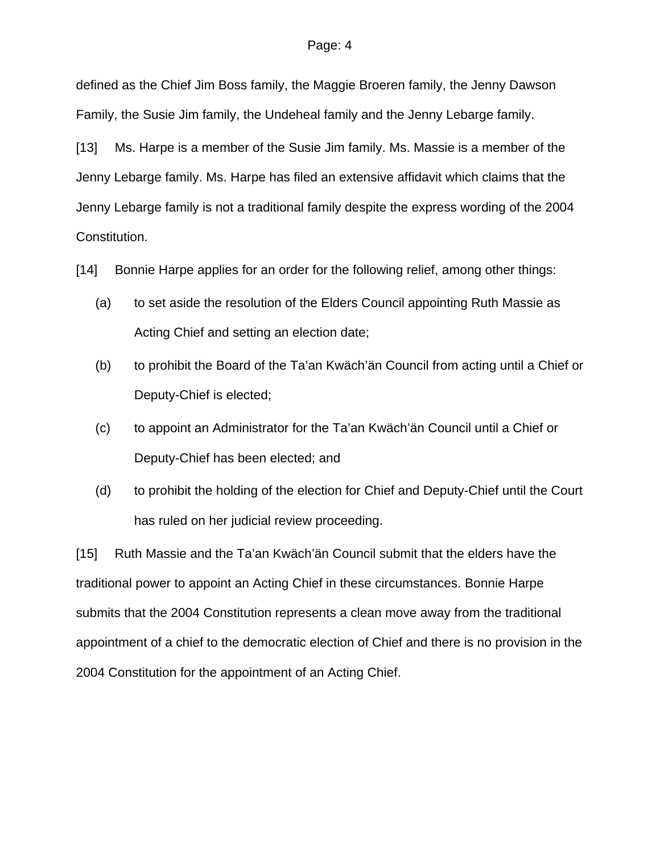defined as the Chief Jim Boss family, the Maggie Broeren family, the Jenny Dawson Family, the Susie Jim family, the Undeheal family and the Jenny Lebarge family.

[13] Ms. Harpe is a member of the Susie Jim family. Ms. Massie is a member of the Jenny Lebarge family. Ms. Harpe has filed an extensive affidavit which claims that the Jenny Lebarge family is not a traditional family despite the express wording of the 2004 Constitution.

[14] Bonnie Harpe applies for an order for the following relief, among other things:

- (a) to set aside the resolution of the Elders Council appointing Ruth Massie as Acting Chief and setting an election date;
- (b) to prohibit the Board of the Ta'an Kwäch'än Council from acting until a Chief or Deputy-Chief is elected;
- (c) to appoint an Administrator for the Ta'an Kwäch'än Council until a Chief or Deputy-Chief has been elected; and
- (d) to prohibit the holding of the election for Chief and Deputy-Chief until the Court has ruled on her judicial review proceeding.

[15] Ruth Massie and the Ta'an Kwäch'än Council submit that the elders have the traditional power to appoint an Acting Chief in these circumstances. Bonnie Harpe submits that the 2004 Constitution represents a clean move away from the traditional appointment of a chief to the democratic election of Chief and there is no provision in the 2004 Constitution for the appointment of an Acting Chief.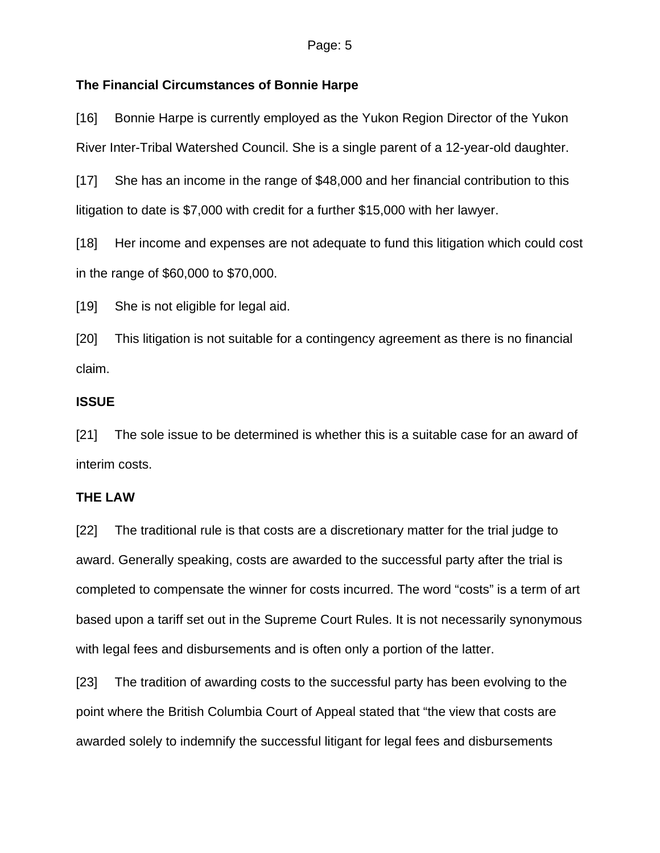# **The Financial Circumstances of Bonnie Harpe**

[16] Bonnie Harpe is currently employed as the Yukon Region Director of the Yukon River Inter-Tribal Watershed Council. She is a single parent of a 12-year-old daughter.

[17] She has an income in the range of \$48,000 and her financial contribution to this litigation to date is \$7,000 with credit for a further \$15,000 with her lawyer.

[18] Her income and expenses are not adequate to fund this litigation which could cost in the range of \$60,000 to \$70,000.

[19] She is not eligible for legal aid.

[20] This litigation is not suitable for a contingency agreement as there is no financial claim.

## **ISSUE**

[21] The sole issue to be determined is whether this is a suitable case for an award of interim costs.

## **THE LAW**

[22] The traditional rule is that costs are a discretionary matter for the trial judge to award. Generally speaking, costs are awarded to the successful party after the trial is completed to compensate the winner for costs incurred. The word "costs" is a term of art based upon a tariff set out in the Supreme Court Rules. It is not necessarily synonymous with legal fees and disbursements and is often only a portion of the latter.

[23] The tradition of awarding costs to the successful party has been evolving to the point where the British Columbia Court of Appeal stated that "the view that costs are awarded solely to indemnify the successful litigant for legal fees and disbursements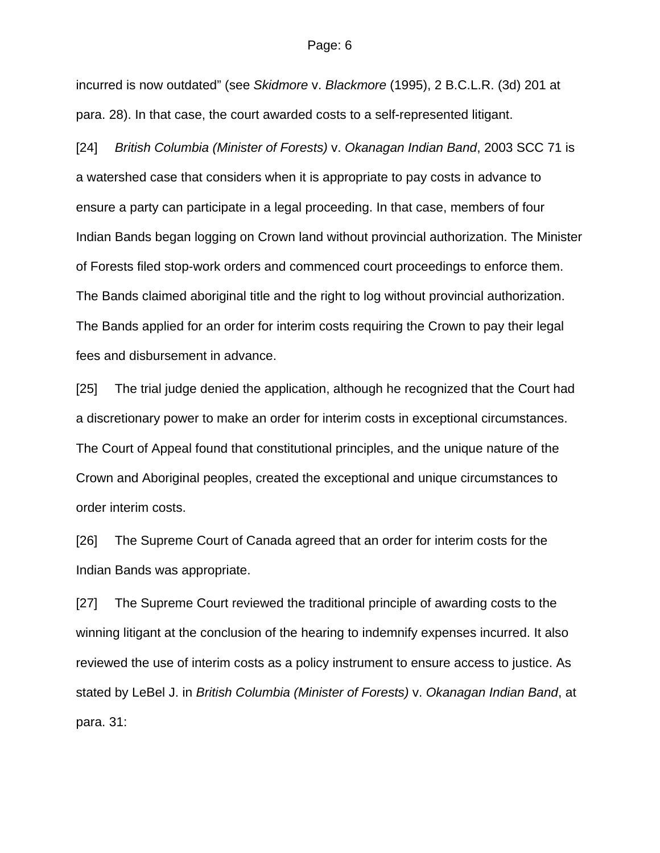incurred is now outdated" (see *Skidmore* v. *Blackmore* (1995), 2 B.C.L.R. (3d) 201 at para. 28). In that case, the court awarded costs to a self-represented litigant.

[24] *British Columbia (Minister of Forests)* v. *Okanagan Indian Band*, 2003 SCC 71 is a watershed case that considers when it is appropriate to pay costs in advance to ensure a party can participate in a legal proceeding. In that case, members of four Indian Bands began logging on Crown land without provincial authorization. The Minister of Forests filed stop-work orders and commenced court proceedings to enforce them. The Bands claimed aboriginal title and the right to log without provincial authorization. The Bands applied for an order for interim costs requiring the Crown to pay their legal fees and disbursement in advance.

[25] The trial judge denied the application, although he recognized that the Court had a discretionary power to make an order for interim costs in exceptional circumstances. The Court of Appeal found that constitutional principles, and the unique nature of the Crown and Aboriginal peoples, created the exceptional and unique circumstances to order interim costs.

[26] The Supreme Court of Canada agreed that an order for interim costs for the Indian Bands was appropriate.

[27] The Supreme Court reviewed the traditional principle of awarding costs to the winning litigant at the conclusion of the hearing to indemnify expenses incurred. It also reviewed the use of interim costs as a policy instrument to ensure access to justice. As stated by LeBel J. in *British Columbia (Minister of Forests)* v. *Okanagan Indian Band*, at para. 31: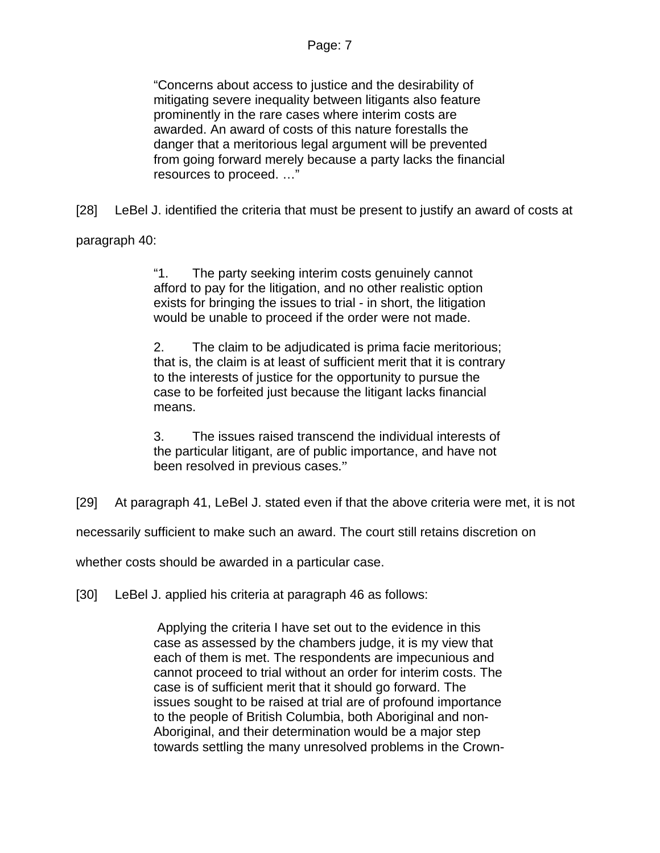"Concerns about access to justice and the desirability of mitigating severe inequality between litigants also feature prominently in the rare cases where interim costs are awarded. An award of costs of this nature forestalls the danger that a meritorious legal argument will be prevented from going forward merely because a party lacks the financial resources to proceed. …"

[28] LeBel J. identified the criteria that must be present to justify an award of costs at

paragraph 40:

"1. The party seeking interim costs genuinely cannot afford to pay for the litigation, and no other realistic option exists for bringing the issues to trial - in short, the litigation would be unable to proceed if the order were not made.

2. The claim to be adjudicated is prima facie meritorious; that is, the claim is at least of sufficient merit that it is contrary to the interests of justice for the opportunity to pursue the case to be forfeited just because the litigant lacks financial means.

3. The issues raised transcend the individual interests of the particular litigant, are of public importance, and have not been resolved in previous cases."

[29] At paragraph 41, LeBel J. stated even if that the above criteria were met, it is not

necessarily sufficient to make such an award. The court still retains discretion on

whether costs should be awarded in a particular case.

[30] LeBel J. applied his criteria at paragraph 46 as follows:

 Applying the criteria I have set out to the evidence in this case as assessed by the chambers judge, it is my view that each of them is met. The respondents are impecunious and cannot proceed to trial without an order for interim costs. The case is of sufficient merit that it should go forward. The issues sought to be raised at trial are of profound importance to the people of British Columbia, both Aboriginal and non-Aboriginal, and their determination would be a major step towards settling the many unresolved problems in the Crown-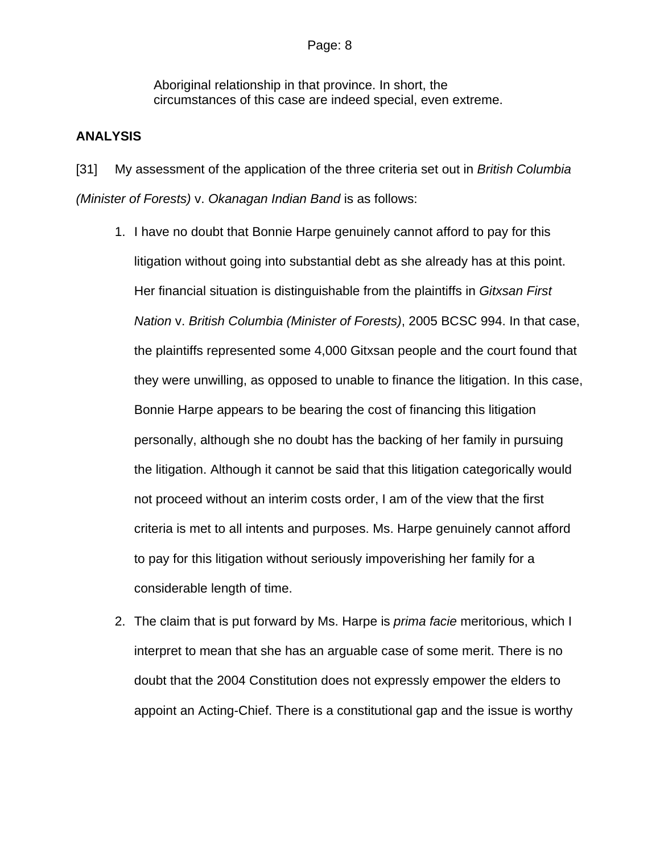Aboriginal relationship in that province. In short, the circumstances of this case are indeed special, even extreme.

## **ANALYSIS**

[31] My assessment of the application of the three criteria set out in *British Columbia (Minister of Forests)* v. *Okanagan Indian Band* is as follows:

- 1. I have no doubt that Bonnie Harpe genuinely cannot afford to pay for this litigation without going into substantial debt as she already has at this point. Her financial situation is distinguishable from the plaintiffs in *Gitxsan First Nation* v. *British Columbia (Minister of Forests)*, 2005 BCSC 994. In that case, the plaintiffs represented some 4,000 Gitxsan people and the court found that they were unwilling, as opposed to unable to finance the litigation. In this case, Bonnie Harpe appears to be bearing the cost of financing this litigation personally, although she no doubt has the backing of her family in pursuing the litigation. Although it cannot be said that this litigation categorically would not proceed without an interim costs order, I am of the view that the first criteria is met to all intents and purposes. Ms. Harpe genuinely cannot afford to pay for this litigation without seriously impoverishing her family for a considerable length of time.
- 2. The claim that is put forward by Ms. Harpe is *prima facie* meritorious, which I interpret to mean that she has an arguable case of some merit. There is no doubt that the 2004 Constitution does not expressly empower the elders to appoint an Acting-Chief. There is a constitutional gap and the issue is worthy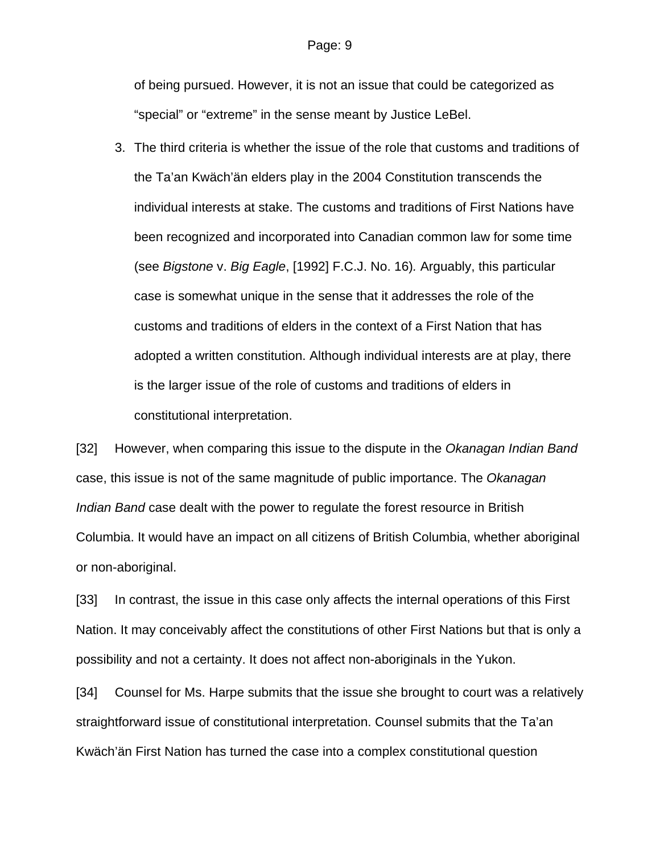of being pursued. However, it is not an issue that could be categorized as "special" or "extreme" in the sense meant by Justice LeBel.

3. The third criteria is whether the issue of the role that customs and traditions of the Ta'an Kwäch'än elders play in the 2004 Constitution transcends the individual interests at stake. The customs and traditions of First Nations have been recognized and incorporated into Canadian common law for some time (see *Bigstone* v. *Big Eagle*, [1992] F.C.J. No. 16)*.* Arguably, this particular case is somewhat unique in the sense that it addresses the role of the customs and traditions of elders in the context of a First Nation that has adopted a written constitution. Although individual interests are at play, there is the larger issue of the role of customs and traditions of elders in constitutional interpretation.

[32] However, when comparing this issue to the dispute in the *Okanagan Indian Band* case, this issue is not of the same magnitude of public importance. The *Okanagan Indian Band* case dealt with the power to regulate the forest resource in British Columbia. It would have an impact on all citizens of British Columbia, whether aboriginal or non-aboriginal.

[33] In contrast, the issue in this case only affects the internal operations of this First Nation. It may conceivably affect the constitutions of other First Nations but that is only a possibility and not a certainty. It does not affect non-aboriginals in the Yukon.

[34] Counsel for Ms. Harpe submits that the issue she brought to court was a relatively straightforward issue of constitutional interpretation. Counsel submits that the Ta'an Kwäch'än First Nation has turned the case into a complex constitutional question